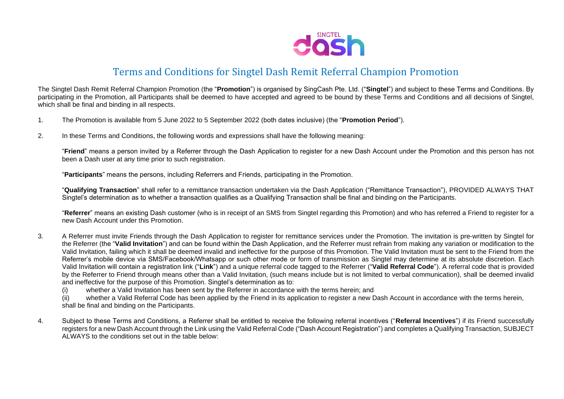

## Terms and Conditions for Singtel Dash Remit Referral Champion Promotion

The Singtel Dash Remit Referral Champion Promotion (the "**Promotion**") is organised by SingCash Pte. Ltd. ("**Singtel**") and subject to these Terms and Conditions. By participating in the Promotion, all Participants shall be deemed to have accepted and agreed to be bound by these Terms and Conditions and all decisions of Singtel, which shall be final and binding in all respects.

- 1. The Promotion is available from 5 June 2022 to 5 September 2022 (both dates inclusive) (the "**Promotion Period**").
- 2. In these Terms and Conditions, the following words and expressions shall have the following meaning:

"**Friend**" means a person invited by a Referrer through the Dash Application to register for a new Dash Account under the Promotion and this person has not been a Dash user at any time prior to such registration.

"**Participants**" means the persons, including Referrers and Friends, participating in the Promotion.

"**Qualifying Transaction**" shall refer to a remittance transaction undertaken via the Dash Application ("Remittance Transaction"), PROVIDED ALWAYS THAT Singtel's determination as to whether a transaction qualifies as a Qualifying Transaction shall be final and binding on the Participants.

"**Referrer**" means an existing Dash customer (who is in receipt of an SMS from Singtel regarding this Promotion) and who has referred a Friend to register for a new Dash Account under this Promotion.

- 3. A Referrer must invite Friends through the Dash Application to register for remittance services under the Promotion. The invitation is pre-written by Singtel for the Referrer (the "**Valid Invitation**") and can be found within the Dash Application, and the Referrer must refrain from making any variation or modification to the Valid Invitation, failing which it shall be deemed invalid and ineffective for the purpose of this Promotion. The Valid Invitation must be sent to the Friend from the Referrer's mobile device via SMS/Facebook/Whatsapp or such other mode or form of transmission as Singtel may determine at its absolute discretion. Each Valid Invitation will contain a registration link ("**Link**") and a unique referral code tagged to the Referrer ("**Valid Referral Code**"). A referral code that is provided by the Referrer to Friend through means other than a Valid Invitation, (such means include but is not limited to verbal communication), shall be deemed invalid and ineffective for the purpose of this Promotion. Singtel's determination as to:
	- (i) whether a Valid Invitation has been sent by the Referrer in accordance with the terms herein; and
	- (ii) whether a Valid Referral Code has been applied by the Friend in its application to register a new Dash Account in accordance with the terms herein, shall be final and binding on the Participants.
- 4. Subject to these Terms and Conditions, a Referrer shall be entitled to receive the following referral incentives ("**Referral Incentives**") if its Friend successfully registers for a new Dash Account through the Link using the Valid Referral Code ("Dash Account Registration") and completes a Qualifying Transaction, SUBJECT ALWAYS to the conditions set out in the table below: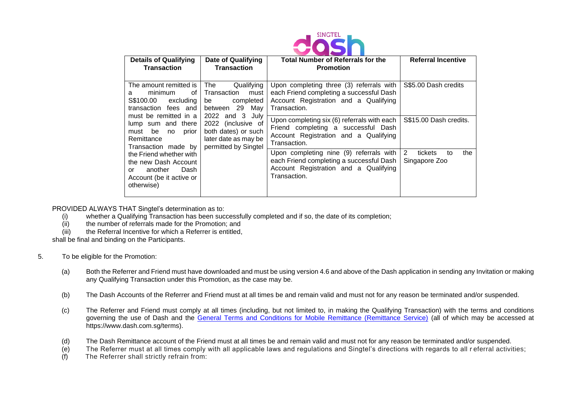

| <b>Details of Qualifying</b><br><b>Transaction</b>                                                                                                                                                                                                                                                                                                                        | Date of Qualifying<br>Transaction                                                         | <b>Total Number of Referrals for the</b><br><b>Promotion</b>                                                                                  | <b>Referral Incentive</b>                  |
|---------------------------------------------------------------------------------------------------------------------------------------------------------------------------------------------------------------------------------------------------------------------------------------------------------------------------------------------------------------------------|-------------------------------------------------------------------------------------------|-----------------------------------------------------------------------------------------------------------------------------------------------|--------------------------------------------|
| <b>The</b><br>The amount remitted is<br>minimum<br>οf<br>a<br>S\$100.00 excluding<br>be<br>transaction fees and<br>between<br>must be remitted in a<br>2022<br>lump sum and there<br>be<br>must<br>no<br>prior<br>Remittance<br>Transaction made by<br>the Friend whether with<br>the new Dash Account<br>another<br>Dash<br>or<br>Account (be it active or<br>otherwise) | Qualifying<br>Transaction<br>must<br>completed<br>May<br>29<br>and 3<br>July              | Upon completing three (3) referrals with<br>each Friend completing a successful Dash<br>Account Registration and a Qualifying<br>Transaction. | S\$5.00 Dash credits                       |
|                                                                                                                                                                                                                                                                                                                                                                           | 2022 (inclusive of<br>both dates) or such<br>later date as may be<br>permitted by Singtel | Upon completing six (6) referrals with each<br>Friend completing a successful Dash<br>Account Registration and a Qualifying<br>Transaction.   | S\$15.00 Dash credits.                     |
|                                                                                                                                                                                                                                                                                                                                                                           |                                                                                           | Upon completing nine (9) referrals with<br>each Friend completing a successful Dash<br>Account Registration and a Qualifying<br>Transaction.  | 2<br>tickets<br>the<br>to<br>Singapore Zoo |

PROVIDED ALWAYS THAT Singtel's determination as to:

- (i) whether a Qualifying Transaction has been successfully completed and if so, the date of its completion;
- (ii) the number of referrals made for the Promotion; and
- (iii) the Referral Incentive for which a Referrer is entitled,

shall be final and binding on the Participants.

- 5. To be eligible for the Promotion:
	- (a) Both the Referrer and Friend must have downloaded and must be using version 4.6 and above of the Dash application in sending any Invitation or making any Qualifying Transaction under this Promotion, as the case may be.
	- (b) The Dash Accounts of the Referrer and Friend must at all times be and remain valid and must not for any reason be terminated and/or suspended.
	- (c) The Referrer and Friend must comply at all times (including, but not limited to, in making the Qualifying Transaction) with the terms and conditions governing the use of Dash and the [General Terms and Conditions for Mobile Remittance \(Remittance Service\)](file:///C:/Users/p1320176/AppData/Local/Microsoft/Windows/INetCache/Content.Outlook/LBAJNANS/General%20Terms%20and%20Conditions%20for%20Mobile%20Remittance%20(Remittance%20Service)) (all of which may be accessed at https://www.dash.com.sg/terms).
	- (d) The Dash Remittance account of the Friend must at all times be and remain valid and must not for any reason be terminated and/or suspended.
	- (e) The Referrer must at all times comply with all applicable laws and regulations and Singtel's directions with regards to all r eferral activities;
	- (f) The Referrer shall strictly refrain from: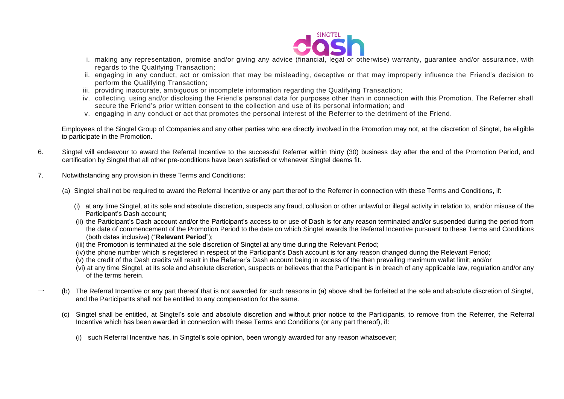

- i. making any representation, promise and/or giving any advice (financial, legal or otherwise) warranty, guarantee and/or assura nce, with regards to the Qualifying Transaction;
- ii. engaging in any conduct, act or omission that may be misleading, deceptive or that may improperly influence the Friend's decision to perform the Qualifying Transaction;
- iii. providing inaccurate, ambiguous or incomplete information regarding the Qualifying Transaction;
- iv. collecting, using and/or disclosing the Friend's personal data for purposes other than in connection with this Promotion. The Referrer shall secure the Friend's prior written consent to the collection and use of its personal information; and
- v. engaging in any conduct or act that promotes the personal interest of the Referrer to the detriment of the Friend.

Employees of the Singtel Group of Companies and any other parties who are directly involved in the Promotion may not, at the discretion of Singtel, be eligible to participate in the Promotion.

- 6. Singtel will endeavour to award the Referral Incentive to the successful Referrer within thirty (30) business day after the end of the Promotion Period, and certification by Singtel that all other pre-conditions have been satisfied or whenever Singtel deems fit.
- 7. Notwithstanding any provision in these Terms and Conditions:
	- (a) Singtel shall not be required to award the Referral Incentive or any part thereof to the Referrer in connection with these Terms and Conditions, if:
		- (i) at any time Singtel, at its sole and absolute discretion, suspects any fraud, collusion or other unlawful or illegal activity in relation to, and/or misuse of the Participant's Dash account;
		- (ii) the Participant's Dash account and/or the Participant's access to or use of Dash is for any reason terminated and/or suspended during the period from the date of commencement of the Promotion Period to the date on which Singtel awards the Referral Incentive pursuant to these Terms and Conditions (both dates inclusive) ("**Relevant Period**");
		- (iii) the Promotion is terminated at the sole discretion of Singtel at any time during the Relevant Period;
		- (iv) the phone number which is registered in respect of the Participant's Dash account is for any reason changed during the Relevant Period;
		- (v) the credit of the Dash credits will result in the Referrer's Dash account being in excess of the then prevailing maximum wallet limit; and/or
		- (vi) at any time Singtel, at its sole and absolute discretion, suspects or believes that the Participant is in breach of any applicable law, regulation and/or any of the terms herein.
	- 一 (b) The Referral Incentive or any part thereof that is not awarded for such reasons in (a) above shall be forfeited at the sole and absolute discretion of Singtel, and the Participants shall not be entitled to any compensation for the same.
		- (c) Singtel shall be entitled, at Singtel's sole and absolute discretion and without prior notice to the Participants, to remove from the Referrer, the Referral Incentive which has been awarded in connection with these Terms and Conditions (or any part thereof), if:
			- (i) such Referral Incentive has, in Singtel's sole opinion, been wrongly awarded for any reason whatsoever;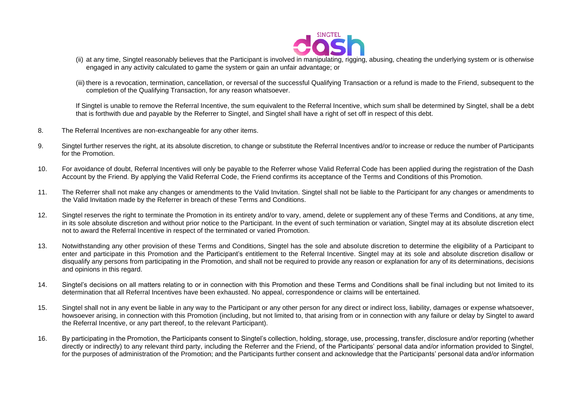

- (ii) at any time, Singtel reasonably believes that the Participant is involved in manipulating, rigging, abusing, cheating the underlying system or is otherwise engaged in any activity calculated to game the system or gain an unfair advantage; or
- (iii) there is a revocation, termination, cancellation, or reversal of the successful Qualifying Transaction or a refund is made to the Friend, subsequent to the completion of the Qualifying Transaction, for any reason whatsoever.

If Singtel is unable to remove the Referral Incentive, the sum equivalent to the Referral Incentive, which sum shall be determined by Singtel, shall be a debt that is forthwith due and payable by the Referrer to Singtel, and Singtel shall have a right of set off in respect of this debt.

- 8. The Referral Incentives are non-exchangeable for any other items.
- 9. Singtel further reserves the right, at its absolute discretion, to change or substitute the Referral Incentives and/or to increase or reduce the number of Participants for the Promotion.
- 10. For avoidance of doubt, Referral Incentives will only be payable to the Referrer whose Valid Referral Code has been applied during the registration of the Dash Account by the Friend. By applying the Valid Referral Code, the Friend confirms its acceptance of the Terms and Conditions of this Promotion.
- 11. The Referrer shall not make any changes or amendments to the Valid Invitation. Singtel shall not be liable to the Participant for any changes or amendments to the Valid Invitation made by the Referrer in breach of these Terms and Conditions.
- 12. Singtel reserves the right to terminate the Promotion in its entirety and/or to vary, amend, delete or supplement any of these Terms and Conditions, at any time, in its sole absolute discretion and without prior notice to the Participant. In the event of such termination or variation, Singtel may at its absolute discretion elect not to award the Referral Incentive in respect of the terminated or varied Promotion.
- 13. Notwithstanding any other provision of these Terms and Conditions, Singtel has the sole and absolute discretion to determine the eligibility of a Participant to enter and participate in this Promotion and the Participant's entitlement to the Referral Incentive. Singtel may at its sole and absolute discretion disallow or disqualify any persons from participating in the Promotion, and shall not be required to provide any reason or explanation for any of its determinations, decisions and opinions in this regard.
- 14. Singtel's decisions on all matters relating to or in connection with this Promotion and these Terms and Conditions shall be final including but not limited to its determination that all Referral Incentives have been exhausted. No appeal, correspondence or claims will be entertained.
- 15. Singtel shall not in any event be liable in any way to the Participant or any other person for any direct or indirect loss, liability, damages or expense whatsoever, howsoever arising, in connection with this Promotion (including, but not limited to, that arising from or in connection with any failure or delay by Singtel to award the Referral Incentive, or any part thereof, to the relevant Participant).
- 16. By participating in the Promotion, the Participants consent to Singtel's collection, holding, storage, use, processing, transfer, disclosure and/or reporting (whether directly or indirectly) to any relevant third party, including the Referrer and the Friend, of the Participants' personal data and/or information provided to Singtel, for the purposes of administration of the Promotion; and the Participants further consent and acknowledge that the Participants' personal data and/or information